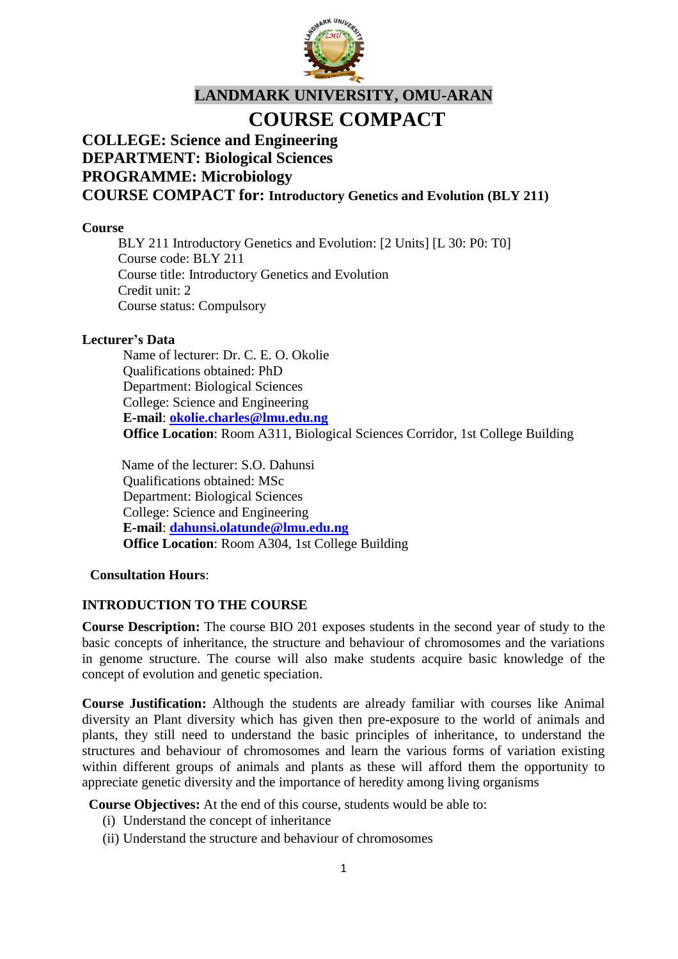

# **LANDMARK UNIVERSITY, OMU-ARAN**

## **COURSE COMPACT**

#### **COLLEGE: Science and Engineering DEPARTMENT: Biological Sciences PROGRAMME: Microbiology COURSE COMPACT for: Introductory Genetics and Evolution (BLY 211)**

#### **Course**

BLY 211 Introductory Genetics and Evolution: [2 Units] [L 30: P0: T0] Course code: BLY 211 Course title: Introductory Genetics and Evolution Credit unit: 2 Course status: Compulsory

#### **Lecturer's Data**

Name of lecturer: Dr. C. E. O. Okolie Qualifications obtained: PhD Department: Biological Sciences College: Science and Engineering **E-mail**: **[okolie.charles@lmu.edu.ng](mailto:okolie.charles@lmu.edu.ng) Office Location**: Room A311, Biological Sciences Corridor, 1st College Building

Name of the lecturer: S.O. Dahunsi Qualifications obtained: MSc Department: Biological Sciences College: Science and Engineering **E-mail**: **[dahunsi.olatunde@lmu.edu.ng](mailto:dahunsi.olatunde@lmu.edu.ng) Office Location**: Room A304, 1st College Building

#### **Consultation Hours**:

#### **INTRODUCTION TO THE COURSE**

**Course Description:** The course BIO 201 exposes students in the second year of study to the basic concepts of inheritance, the structure and behaviour of chromosomes and the variations in genome structure. The course will also make students acquire basic knowledge of the concept of evolution and genetic speciation.

**Course Justification:** Although the students are already familiar with courses like Animal diversity an Plant diversity which has given then pre-exposure to the world of animals and plants, they still need to understand the basic principles of inheritance, to understand the structures and behaviour of chromosomes and learn the various forms of variation existing within different groups of animals and plants as these will afford them the opportunity to appreciate genetic diversity and the importance of heredity among living organisms

**Course Objectives:** At the end of this course, students would be able to:

- (i) Understand the concept of inheritance
- (ii) Understand the structure and behaviour of chromosomes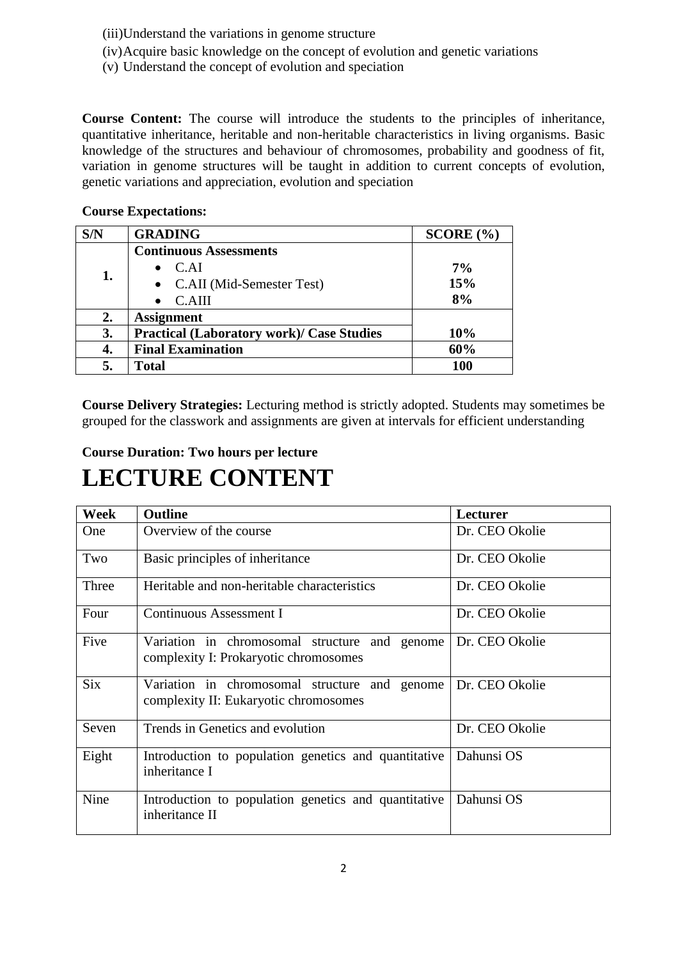(iii)Understand the variations in genome structure

- (iv)Acquire basic knowledge on the concept of evolution and genetic variations
- (v) Understand the concept of evolution and speciation

**Course Content:** The course will introduce the students to the principles of inheritance, quantitative inheritance, heritable and non-heritable characteristics in living organisms. Basic knowledge of the structures and behaviour of chromosomes, probability and goodness of fit, variation in genome structures will be taught in addition to current concepts of evolution, genetic variations and appreciation, evolution and speciation

**SCORE**  $(\% )$ 

**7% 15% 8%**

|     | ----------------------        |  |
|-----|-------------------------------|--|
| S/N | <b>GRADING</b>                |  |
|     | <b>Continuous Assessments</b> |  |
|     | $\bullet$ C.AI                |  |
|     | C.AII (Mid-Semester Test)     |  |

• C.AIII

#### **Course Expectations:**

**2. Assignment**

**Course Delivery Strategies:** Lecturing method is strictly adopted. Students may sometimes be grouped for the classwork and assignments are given at intervals for efficient understanding

**3. Practical (Laboratory work)/ Case Studies 10% 4. Final Examination 60% 5. Total 100**

#### **Course Duration: Two hours per lecture**

## **LECTURE CONTENT**

| <b>Week</b> | <b>Outline</b>                                                                         | Lecturer       |
|-------------|----------------------------------------------------------------------------------------|----------------|
| <b>One</b>  | Overview of the course                                                                 | Dr. CEO Okolie |
| Two         | Basic principles of inheritance                                                        | Dr. CEO Okolie |
| Three       | Heritable and non-heritable characteristics                                            | Dr. CEO Okolie |
| Four        | Continuous Assessment I                                                                | Dr. CEO Okolie |
| Five        | Variation in chromosomal structure and genome<br>complexity I: Prokaryotic chromosomes | Dr. CEO Okolie |
| <b>Six</b>  | Variation in chromosomal structure and genome<br>complexity II: Eukaryotic chromosomes | Dr. CEO Okolie |
| Seven       | Trends in Genetics and evolution                                                       | Dr. CEO Okolie |
| Eight       | Introduction to population genetics and quantitative<br>inheritance I                  | Dahunsi OS     |
| Nine        | Introduction to population genetics and quantitative<br>inheritance II                 | Dahunsi OS     |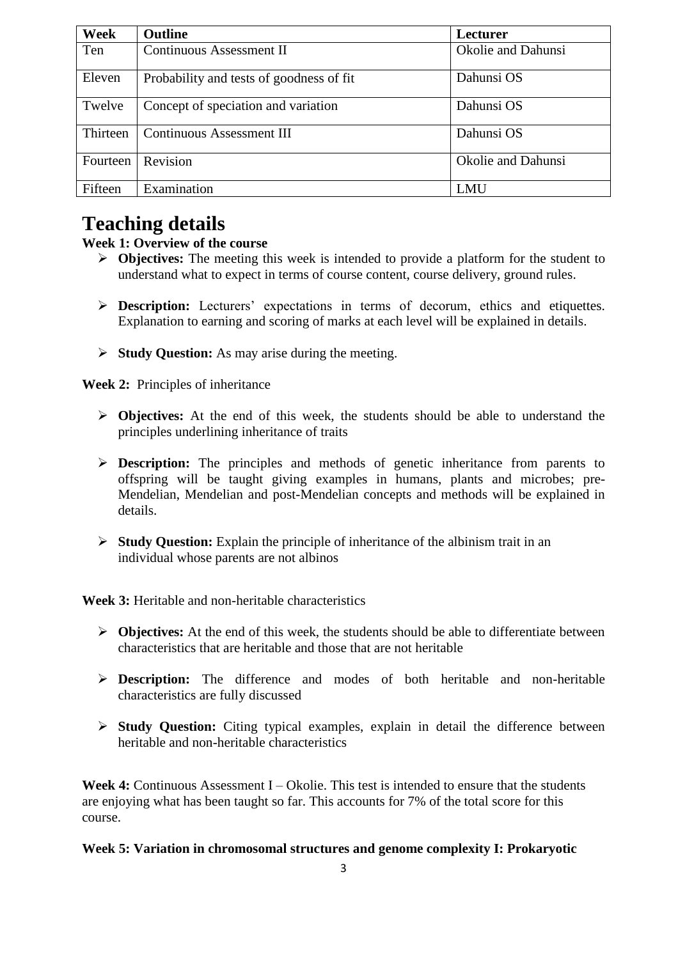| Week     | <b>Outline</b>                            | <b>Lecturer</b>    |
|----------|-------------------------------------------|--------------------|
| Ten      | Continuous Assessment II                  | Okolie and Dahunsi |
| Eleven   | Probability and tests of goodness of fit. | Dahunsi OS         |
| Twelve   | Concept of speciation and variation       | Dahunsi OS         |
| Thirteen | <b>Continuous Assessment III</b>          | Dahunsi OS         |
| Fourteen | Revision                                  | Okolie and Dahunsi |
| Fifteen  | Examination                               | LMU                |

### **Teaching details**

#### **Week 1: Overview of the course**

- **Objectives:** The meeting this week is intended to provide a platform for the student to understand what to expect in terms of course content, course delivery, ground rules.
- **Description:** Lecturers' expectations in terms of decorum, ethics and etiquettes. Explanation to earning and scoring of marks at each level will be explained in details.
- **Study Question:** As may arise during the meeting.

**Week 2:** Principles of inheritance

- **Objectives:** At the end of this week, the students should be able to understand the principles underlining inheritance of traits
- **Description:** The principles and methods of genetic inheritance from parents to offspring will be taught giving examples in humans, plants and microbes; pre-Mendelian, Mendelian and post-Mendelian concepts and methods will be explained in details.
- **Study Question:** Explain the principle of inheritance of the albinism trait in an individual whose parents are not albinos

**Week 3:** Heritable and non-heritable characteristics

- **Objectives:** At the end of this week, the students should be able to differentiate between characteristics that are heritable and those that are not heritable
- **Description:** The difference and modes of both heritable and non-heritable characteristics are fully discussed
- **Study Question:** Citing typical examples, explain in detail the difference between heritable and non-heritable characteristics

Week 4: Continuous Assessment I – Okolie. This test is intended to ensure that the students are enjoying what has been taught so far. This accounts for 7% of the total score for this course.

#### **Week 5: Variation in chromosomal structures and genome complexity I: Prokaryotic**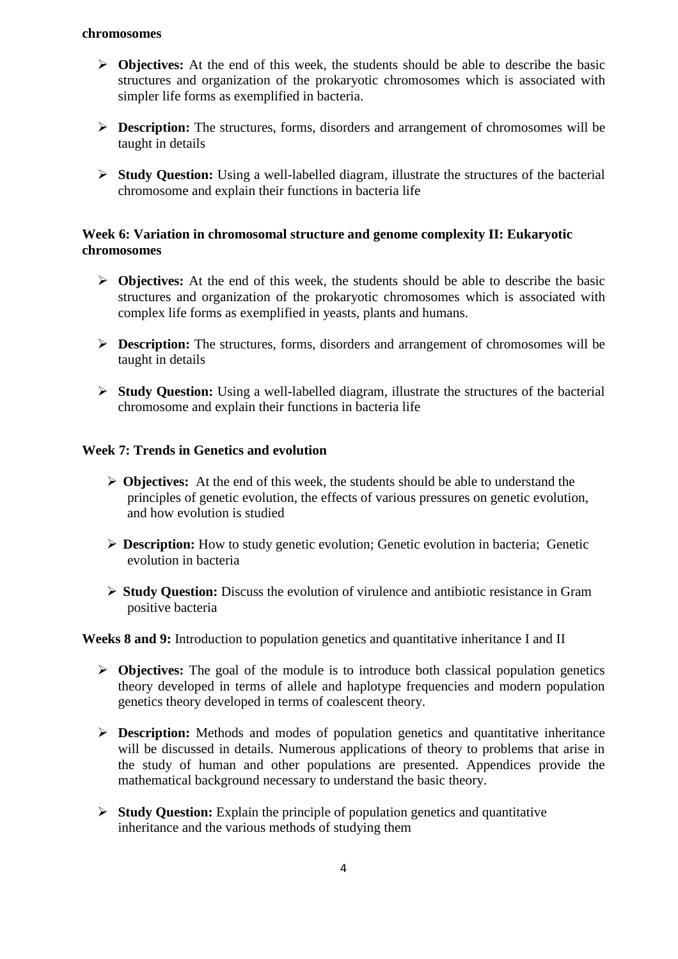#### **chromosomes**

- **Objectives:** At the end of this week, the students should be able to describe the basic structures and organization of the prokaryotic chromosomes which is associated with simpler life forms as exemplified in bacteria.
- **Description:** The structures, forms, disorders and arrangement of chromosomes will be taught in details
- **Study Question:** Using a well-labelled diagram, illustrate the structures of the bacterial chromosome and explain their functions in bacteria life

#### **Week 6: Variation in chromosomal structure and genome complexity II: Eukaryotic chromosomes**

- **Objectives:** At the end of this week, the students should be able to describe the basic structures and organization of the prokaryotic chromosomes which is associated with complex life forms as exemplified in yeasts, plants and humans.
- **Description:** The structures, forms, disorders and arrangement of chromosomes will be taught in details
- **Study Question:** Using a well-labelled diagram, illustrate the structures of the bacterial chromosome and explain their functions in bacteria life

#### **Week 7: Trends in Genetics and evolution**

- **Objectives:** At the end of this week, the students should be able to understand the principles of genetic evolution, the effects of various pressures on genetic evolution, and how evolution is studied
- **Description:** How to study genetic evolution; Genetic evolution in bacteria; Genetic evolution in bacteria
- **Study Question:** Discuss the evolution of virulence and antibiotic resistance in Gram positive bacteria

#### **Weeks 8 and 9:** Introduction to population genetics and quantitative inheritance I and II

- **Objectives:** The goal of the module is to introduce both classical population genetics theory developed in terms of allele and haplotype frequencies and modern population genetics theory developed in terms of coalescent theory.
- **Description:** Methods and modes of population genetics and quantitative inheritance will be discussed in details. Numerous applications of theory to problems that arise in the study of human and other populations are presented. Appendices provide the mathematical background necessary to understand the basic theory.
- **Study Question:** Explain the principle of population genetics and quantitative inheritance and the various methods of studying them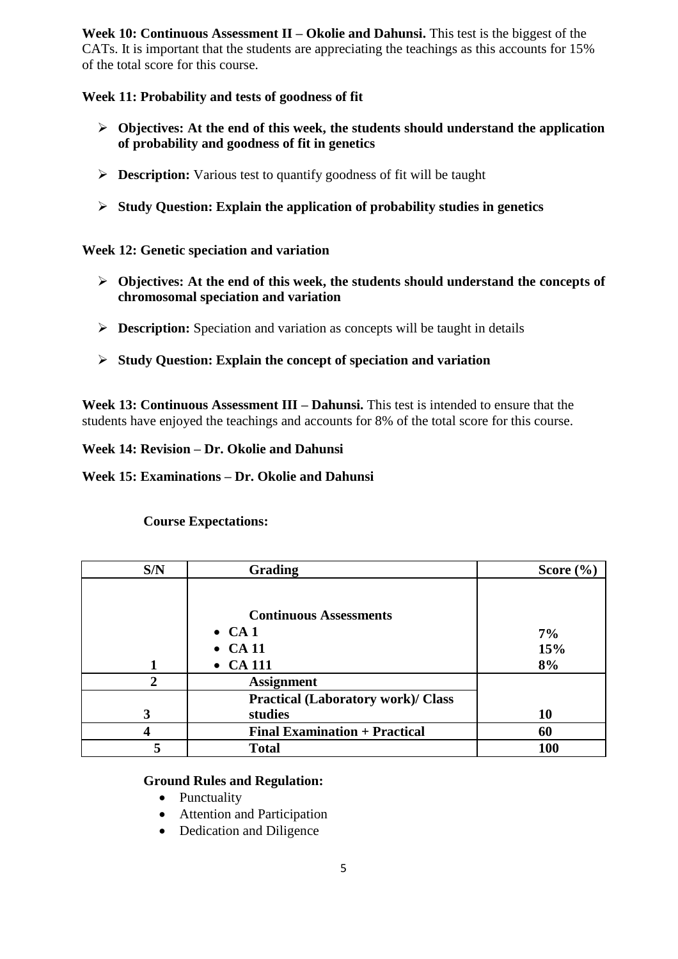**Week 10: Continuous Assessment II – Okolie and Dahunsi.** This test is the biggest of the CATs. It is important that the students are appreciating the teachings as this accounts for 15% of the total score for this course.

#### **Week 11: Probability and tests of goodness of fit**

- **Objectives: At the end of this week, the students should understand the application of probability and goodness of fit in genetics**
- **Description:** Various test to quantify goodness of fit will be taught
- **Study Question: Explain the application of probability studies in genetics**

#### **Week 12: Genetic speciation and variation**

- **Objectives: At the end of this week, the students should understand the concepts of chromosomal speciation and variation**
- **Description:** Speciation and variation as concepts will be taught in details
- **Study Question: Explain the concept of speciation and variation**

**Week 13: Continuous Assessment III – Dahunsi.** This test is intended to ensure that the students have enjoyed the teachings and accounts for 8% of the total score for this course.

**Week 14: Revision – Dr. Okolie and Dahunsi**

#### **Week 15: Examinations – Dr. Okolie and Dahunsi**

| S/N | Grading                                   | Score $(\% )$ |
|-----|-------------------------------------------|---------------|
|     |                                           |               |
|     | <b>Continuous Assessments</b>             |               |
|     | $\bullet$ CA 1                            | 7%            |
|     | $\bullet$ CA 11                           | 15%           |
|     | $\bullet$ CA 111                          | 8%            |
| າ   | <b>Assignment</b>                         |               |
|     | <b>Practical (Laboratory work)/ Class</b> |               |
| 3   | studies                                   | 10            |
|     | <b>Final Examination + Practical</b>      | 60            |
| 5   | <b>Total</b>                              | 100           |

#### **Course Expectations:**

#### **Ground Rules and Regulation:**

- Punctuality
- Attention and Participation
- Dedication and Diligence